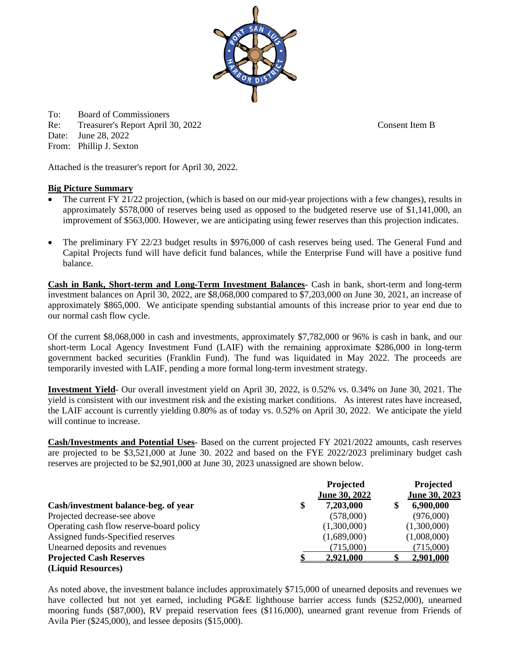To: Board of Commissioners

Re: Treasurer's Report April 30, 2022 Consent Item B

Date: June 28, 2022

From: Phillip J. Sexton

Attached is the treasurer's report for April 30, 2022.

# **Big Picture Summary**

- The current FY 21/22 projection, (which is based on our mid-year projections with a few changes), results in approximately \$578,000 of reserves being used as opposed to the budgeted reserve use of \$1,141,000, an improvement of \$563,000. However, we are anticipating using fewer reserves than this projection indicates.
- The preliminary FY 22/23 budget results in \$976,000 of cash reserves being used. The General Fund and Capital Projects fund will have deficit fund balances, while the Enterprise Fund will have a positive fund balance.

**Cash in Bank, Short-term and Long-Term Investment Balances**- Cash in bank, short-term and long-term investment balances on April 30, 2022, are \$8,068,000 compared to \$7,203,000 on June 30, 2021, an increase of approximately \$865,000. We anticipate spending substantial amounts of this increase prior to year end due to our normal cash flow cycle.

Of the current \$8,068,000 in cash and investments, approximately \$7,782,000 or 96% is cash in bank, and our short-term Local Agency Investment Fund (LAIF) with the remaining approximate \$286,000 in long-term government backed securities (Franklin Fund). The fund was liquidated in May 2022. The proceeds are temporarily invested with LAIF, pending a more formal long-term investment strategy.

**Investment Yield**- Our overall investment yield on April 30, 2022, is 0.52% vs. 0.34% on June 30, 2021. The yield is consistent with our investment risk and the existing market conditions. As interest rates have increased, the LAIF account is currently yielding 0.80% as of today vs. 0.52% on April 30, 2022. We anticipate the yield will continue to increase.

**Cash/Investments and Potential Uses**- Based on the current projected FY 2021/2022 amounts, cash reserves are projected to be \$3,521,000 at June 30. 2022 and based on the FYE 2022/2023 preliminary budget cash reserves are projected to be \$2,901,000 at June 30, 2023 unassigned are shown below.

|                                          | Projected<br>June 30, 2022 | <b>Projected</b><br>June 30, 2023 |
|------------------------------------------|----------------------------|-----------------------------------|
| Cash/investment balance-beg. of year     | \$<br>7,203,000            | 6,900,000                         |
| Projected decrease-see above             | (578,000)                  | (976,000)                         |
| Operating cash flow reserve-board policy | (1,300,000)                | (1,300,000)                       |
| Assigned funds-Specified reserves        | (1,689,000)                | (1,008,000)                       |
| Unearned deposits and revenues           | (715,000)                  | (715,000)                         |
| <b>Projected Cash Reserves</b>           | <b>2.921.000</b>           | <b>2.901.000</b>                  |
| (Liquid Resources)                       |                            |                                   |

As noted above, the investment balance includes approximately \$715,000 of unearned deposits and revenues we have collected but not yet earned, including PG&E lighthouse barrier access funds (\$252,000), unearned mooring funds (\$87,000), RV prepaid reservation fees (\$116,000), unearned grant revenue from Friends of Avila Pier (\$245,000), and lessee deposits (\$15,000).

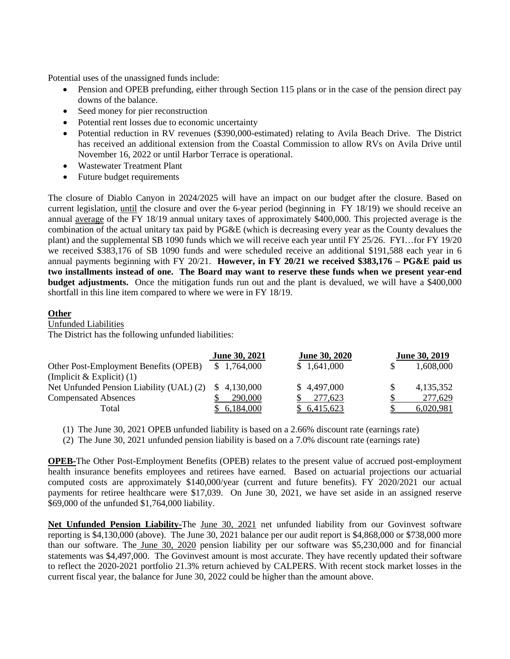Potential uses of the unassigned funds include:

- Pension and OPEB prefunding, either through Section 115 plans or in the case of the pension direct pay downs of the balance.
- Seed money for pier reconstruction
- Potential rent losses due to economic uncertainty
- Potential reduction in RV revenues (\$390,000-estimated) relating to Avila Beach Drive. The District has received an additional extension from the Coastal Commission to allow RVs on Avila Drive until November 16, 2022 or until Harbor Terrace is operational.
- Wastewater Treatment Plant
- Future budget requirements

The closure of Diablo Canyon in 2024/2025 will have an impact on our budget after the closure. Based on current legislation, until the closure and over the 6-year period (beginning in FY 18/19) we should receive an annual average of the FY 18/19 annual unitary taxes of approximately \$400,000. This projected average is the combination of the actual unitary tax paid by PG&E (which is decreasing every year as the County devalues the plant) and the supplemental SB 1090 funds which we will receive each year until FY 25/26. FYI…for FY 19/20 we received \$383,176 of SB 1090 funds and were scheduled receive an additional \$191,588 each year in 6 annual payments beginning with FY 20/21. **However, in FY 20/21 we received \$383,176 – PG&E paid us two installments instead of one. The Board may want to reserve these funds when we present year-end budget adjustments.** Once the mitigation funds run out and the plant is devalued, we will have a \$400,000 shortfall in this line item compared to where we were in FY 18/19.

## **Other**

Unfunded Liabilities

The District has the following unfunded liabilities:

|                                          | <b>June 30, 2020</b><br><b>June 30, 2021</b> |             | June 30, 2019 |           |
|------------------------------------------|----------------------------------------------|-------------|---------------|-----------|
| Other Post-Employment Benefits (OPEB)    | \$1,764,000                                  | \$1,641,000 |               | 1,608,000 |
| (Implicit & Explicit) $(1)$              |                                              |             |               |           |
| Net Unfunded Pension Liability (UAL) (2) | \$4,130,000                                  | \$4,497,000 |               | 4,135,352 |
| <b>Compensated Absences</b>              | 290,000                                      | 277,623     |               | 277,629   |
| Total                                    | \$6,184,000                                  | \$6,415,623 |               | 6.020.981 |

(1) The June 30, 2021 OPEB unfunded liability is based on a 2.66% discount rate (earnings rate)

(2) The June 30, 2021 unfunded pension liability is based on a 7.0% discount rate (earnings rate)

**OPEB-**The Other Post-Employment Benefits (OPEB) relates to the present value of accrued post-employment health insurance benefits employees and retirees have earned. Based on actuarial projections our actuarial computed costs are approximately \$140,000/year (current and future benefits). FY 2020/2021 our actual payments for retiree healthcare were \$17,039. On June 30, 2021, we have set aside in an assigned reserve \$69,000 of the unfunded \$1,764,000 liability.

**Net Unfunded Pension Liability-**The June 30, 2021 net unfunded liability from our Govinvest software reporting is \$4,130,000 (above). The June 30, 2021 balance per our audit report is \$4,868,000 or \$738,000 more than our software. The June 30, 2020 pension liability per our software was \$5,230,000 and for financial statements was \$4,497,000. The Govinvest amount is most accurate. They have recently updated their software to reflect the 2020-2021 portfolio 21.3% return achieved by CALPERS. With recent stock market losses in the current fiscal year, the balance for June 30, 2022 could be higher than the amount above.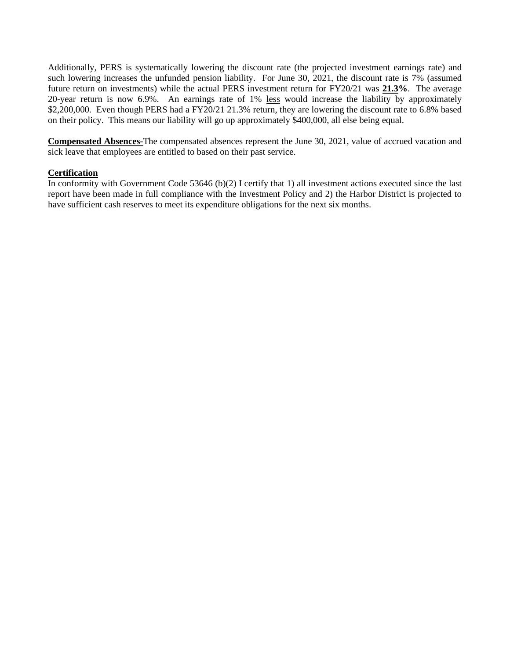Additionally, PERS is systematically lowering the discount rate (the projected investment earnings rate) and such lowering increases the unfunded pension liability. For June 30, 2021, the discount rate is 7% (assumed future return on investments) while the actual PERS investment return for FY20/21 was **21.3%**. The average 20-year return is now 6.9%. An earnings rate of 1% less would increase the liability by approximately \$2,200,000. Even though PERS had a FY20/21 21.3% return, they are lowering the discount rate to 6.8% based on their policy. This means our liability will go up approximately \$400,000, all else being equal.

**Compensated Absences-**The compensated absences represent the June 30, 2021, value of accrued vacation and sick leave that employees are entitled to based on their past service.

## **Certification**

In conformity with Government Code 53646 (b)(2) I certify that 1) all investment actions executed since the last report have been made in full compliance with the Investment Policy and 2) the Harbor District is projected to have sufficient cash reserves to meet its expenditure obligations for the next six months.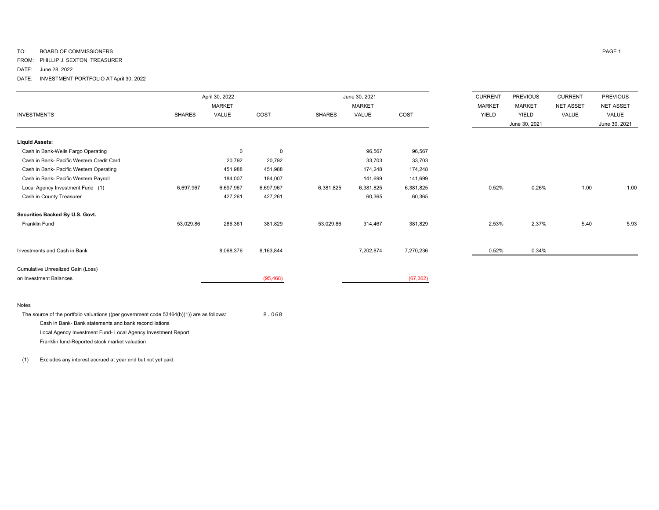## TO: BOARD OF COMMISSIONERS PAGE 1

FROM: PHILLIP J. SEXTON, TREASURER

DATE: June 28, 2022

DATE: INVESTMENT PORTFOLIO AT April 30, 2022

|                                           |               | April 30, 2022 |             |               | June 30, 2021 |           | <b>CURRENT</b> | <b>PREVIOUS</b> | <b>CURRENT</b>   | <b>PREVIOUS</b>  |
|-------------------------------------------|---------------|----------------|-------------|---------------|---------------|-----------|----------------|-----------------|------------------|------------------|
|                                           |               | <b>MARKET</b>  |             |               | <b>MARKET</b> |           | <b>MARKET</b>  | <b>MARKET</b>   | <b>NET ASSET</b> | <b>NET ASSET</b> |
| <b>INVESTMENTS</b>                        | <b>SHARES</b> | VALUE          | COST        | <b>SHARES</b> | VALUE         | COST      | YIELD          | YIELD           | VALUE            | VALUE            |
|                                           |               |                |             |               |               |           |                | June 30, 2021   |                  | June 30, 2021    |
| <b>Liquid Assets:</b>                     |               |                |             |               |               |           |                |                 |                  |                  |
| Cash in Bank-Wells Fargo Operating        |               | $\mathbf 0$    | $\mathbf 0$ |               | 96,567        | 96,567    |                |                 |                  |                  |
| Cash in Bank- Pacific Western Credit Card |               | 20,792         | 20,792      |               | 33,703        | 33,703    |                |                 |                  |                  |
| Cash in Bank- Pacific Western Operating   |               | 451,988        | 451,988     |               | 174,248       | 174,248   |                |                 |                  |                  |
| Cash in Bank- Pacific Western Payroll     |               | 184,007        | 184,007     |               | 141,699       | 141,699   |                |                 |                  |                  |
| Local Agency Investment Fund (1)          | 6,697,967     | 6,697,967      | 6,697,967   | 6,381,825     | 6,381,825     | 6,381,825 | 0.52%          | 0.26%           | 1.00             | 1.00             |
| Cash in County Treasurer                  |               | 427,261        | 427,261     |               | 60,365        | 60,365    |                |                 |                  |                  |
| Securities Backed By U.S. Govt.           |               |                |             |               |               |           |                |                 |                  |                  |
| <b>Franklin Fund</b>                      | 53,029.86     | 286,361        | 381,829     | 53,029.86     | 314,467       | 381,829   | 2.53%          | 2.37%           | 5.40             | 5.93             |
|                                           |               |                |             |               |               |           |                |                 |                  |                  |
| Investments and Cash in Bank              |               | 8,068,376      | 8,163,844   |               | 7,202,874     | 7,270,236 | 0.52%          | 0.34%           |                  |                  |
| Cumulative Unrealized Gain (Loss)         |               |                |             |               |               |           |                |                 |                  |                  |
| on Investment Balances                    |               |                | (95, 468)   |               |               | (67, 362) |                |                 |                  |                  |
|                                           |               |                |             |               |               |           |                |                 |                  |                  |

#### Notes

The source of the portfolio valuations ((per government code 53464(b)(1)) are as follows: 8.068 Cash in Bank- Bank statements and bank reconciliations Local Agency Investment Fund- Local Agency Investment Report Franklin fund-Reported stock market valuation

(1) Excludes any interest accrued at year end but not yet paid.